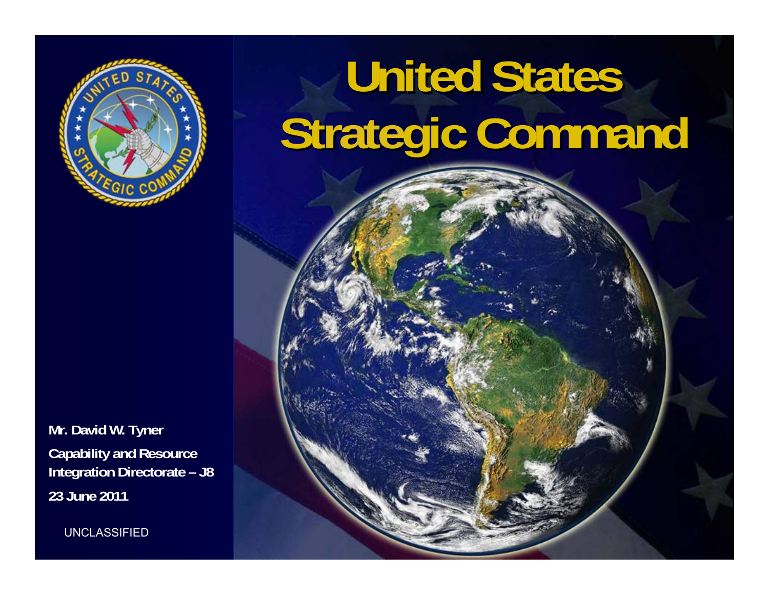

## **United States United States Strategic Command gic Command**

**Mr. David W. Tyner Capability and Resource Integration Directorate – J8 23 June 2011**

UNCLASSIFIED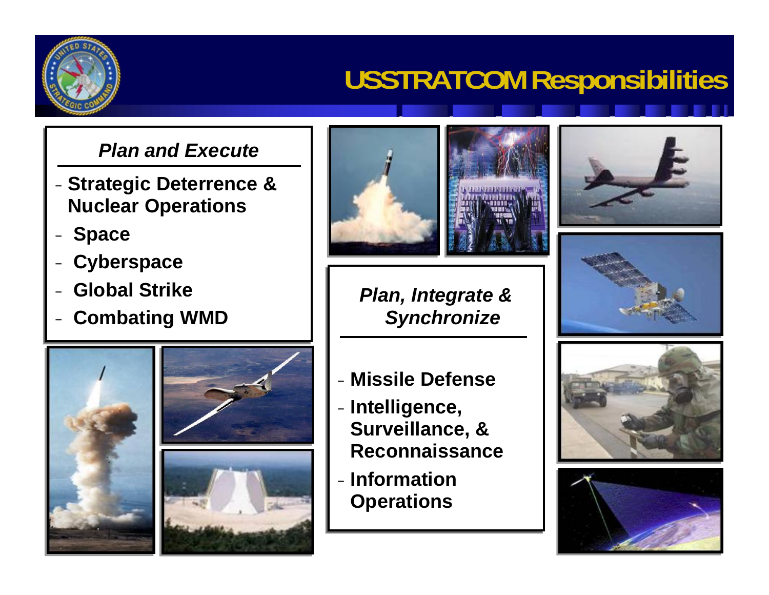### **USSTRATCOM Responsibilities**

### *Plan and Execute*

- **Strategic Deterrence &**  −**Nuclear Operations Nuclear Operations Strategic Deterrence &**
- **Space Space** −
- **Cyberspace Cyberspace** −
- **Global Strike Global Strike** −
- **Combating WMD Combating WMD** −









*Plan, Integrate & Plan, Integrate & Synchronize Synchronize*

- − **Missile Defense** − **Missile Defense**
- **Intelligence,**  −**Surveillance, & Surveillance, & Reconnaissance ReconnaissanceIntelligence,**
- − **Information**  − **Information Operations Operations**









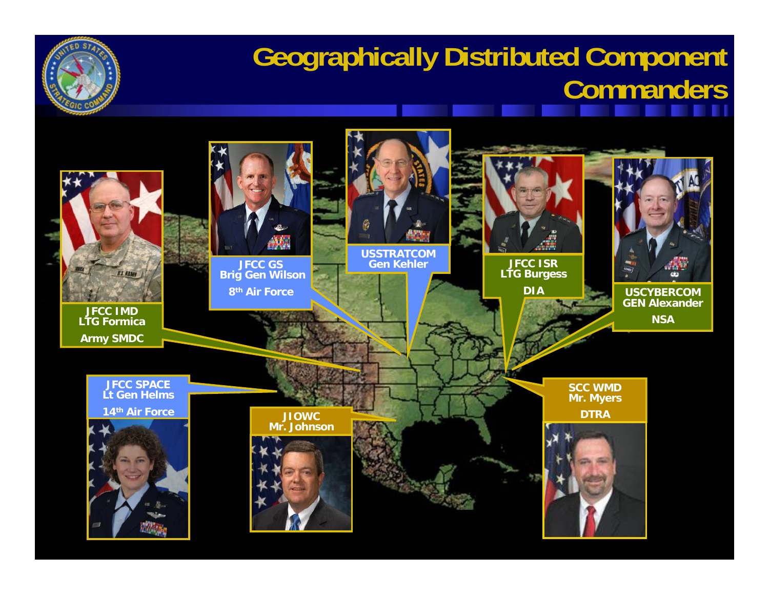

### **Geographically Distributed Component Commanders**

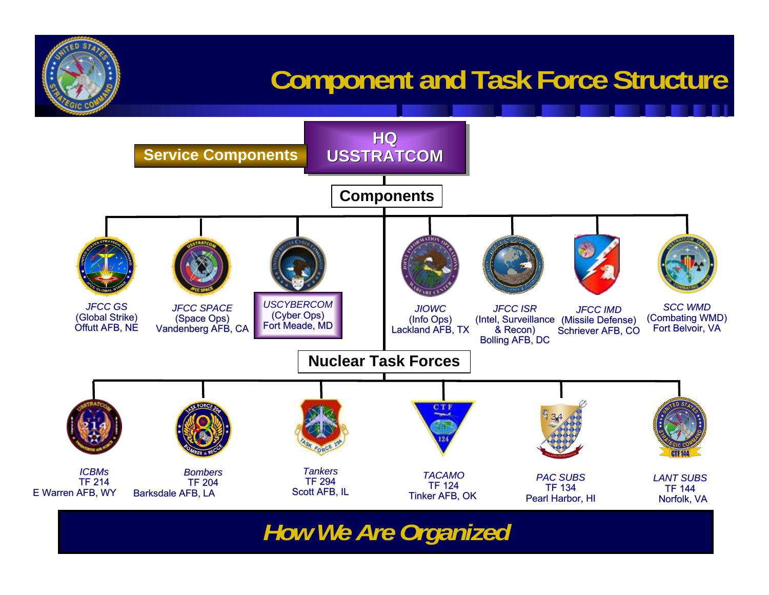### **Component and Task Force Structure**



*How We Are Organized*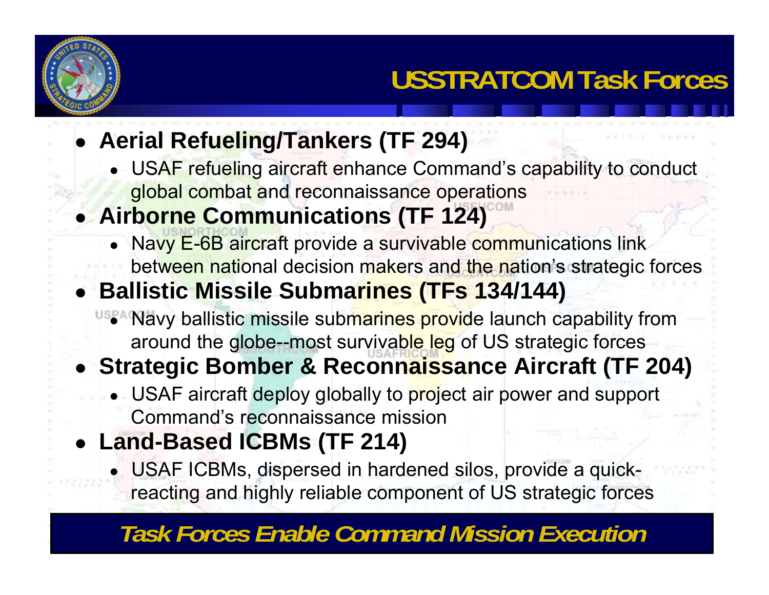

- **Aerial Refueling/Tankers (TF 294)**
	- USAF refueling aircraft enhance Command's capability to conduct global combat and reconnaissance operations

### **Airborne Communications (TF 124)**

• Navy E-6B aircraft provide a survivable communications link between national decision makers and the nation's strategic forces

### **Ballistic Missile Submarines (TFs 134/144)**

• Navy ballistic missile submarines provide launch capability from around the globe--most survivable leg of US strategic forces

### **Strategic Bomber & Reconnaissance Aircraft (TF 204)**

- USAF aircraft deploy globally to project air power and support Command's reconnaissance mission
- **Land-Based ICBMs (TF 214)**
	- USAF ICBMs, dispersed in hardened silos, provide a quickreacting and highly reliable component of US strategic forces

#### UNCLASSIFIED AT A 1990 FOR *Task Forces Enable Command Mission Execution*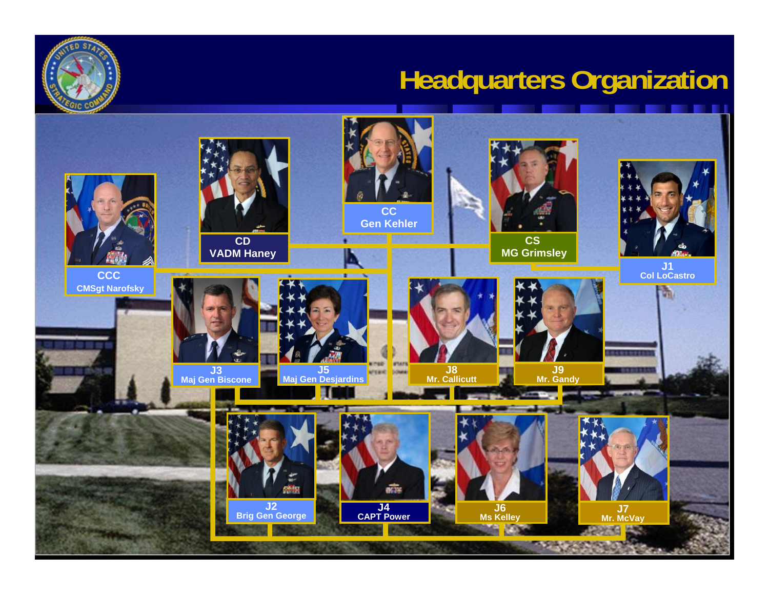### **Headquarters Organization**



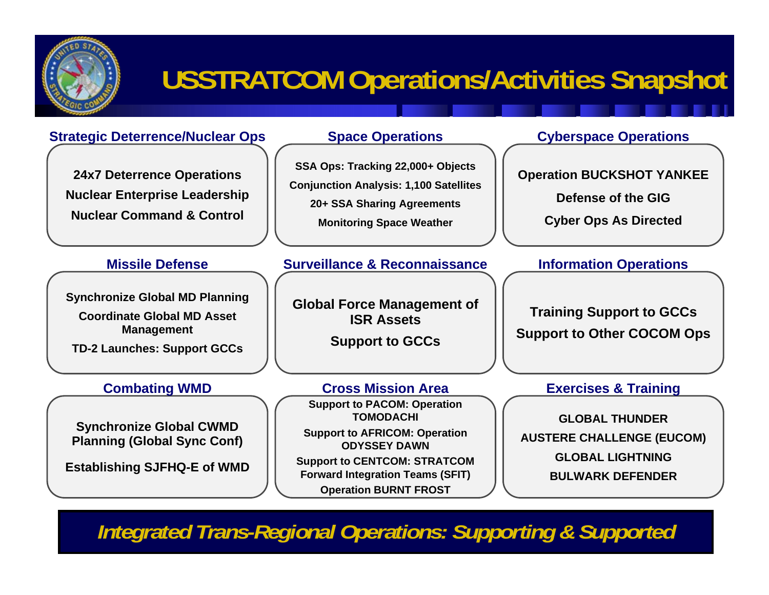

### **USSTRATCOM Operations/Activities Snapshot**

#### **Strategic Deterrence/Nuclear Ops**

**24x7 Deterrence Operations Nuclear Enterprise Leadership Nuclear Command & Control**

#### **Missile Defense**

**Synchronize Global MD Planning**

**Coordinate Global MD Asset Management**

**TD-2 Launches: Support GCCs**

#### **Combating WMD**

**Synchronize Global CWMD Planning (Global Sync Conf)**

**Establishing SJFHQ-E of WMD**

#### **Space Operations**

**SSA Ops: Tracking 22,000+ Objects Conjunction Analysis: 1,100 Satellites 20+ SSA Sharing Agreements Monitoring Space Weather**

#### **Surveillance & Reconnaissance**

**Global Force Management of ISR Assets**

**Support to GCCs**

**Support to PACOM: Operation TOMODACHISupport to AFRICOM: Operation ODYSSEY DAWNCross Mission Area**

**Support to CENTCOM: STRATCOM Forward Integration Teams (SFIT) Operation BURNT FROST**

#### **Cyberspace Operations**

**Operation BUCKSHOT YANKEE**

**Defense of the GIG**

**Cyber Ops As Directed**

#### **Information Operations**

**Training Support to GCCs Support to Other COCOM Ops**

#### **Exercises & Training**

**GLOBAL THUNDERAUSTERE CHALLENGE (EUCOM) GLOBAL LIGHTNINGBULWARK DEFENDER**

*Integrated Trans-Regional Operations: Supporting & Supported*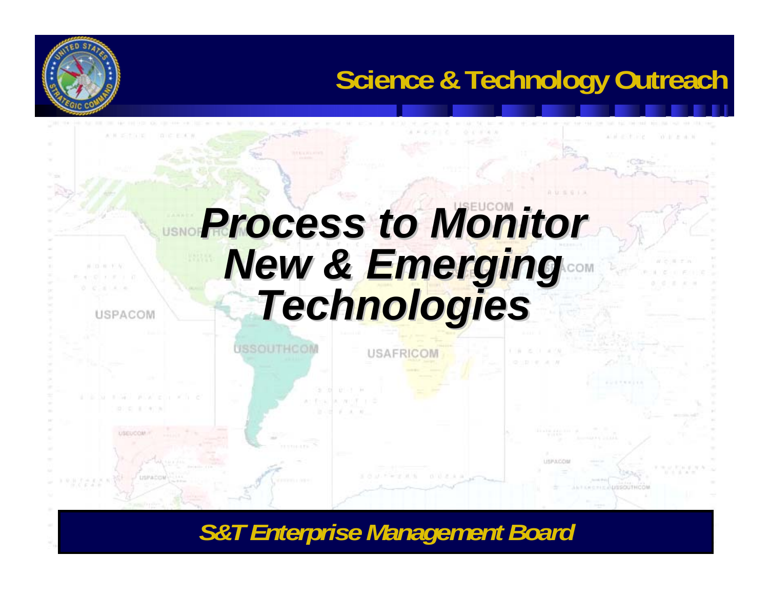### **Science & Technology Outreach**

With the sales

# **Process to Monitor** *New & Emerging New & Emerging Technologies Technologies*

**USAFRICOM** 

**USSOUTHCOM** 

USPACON

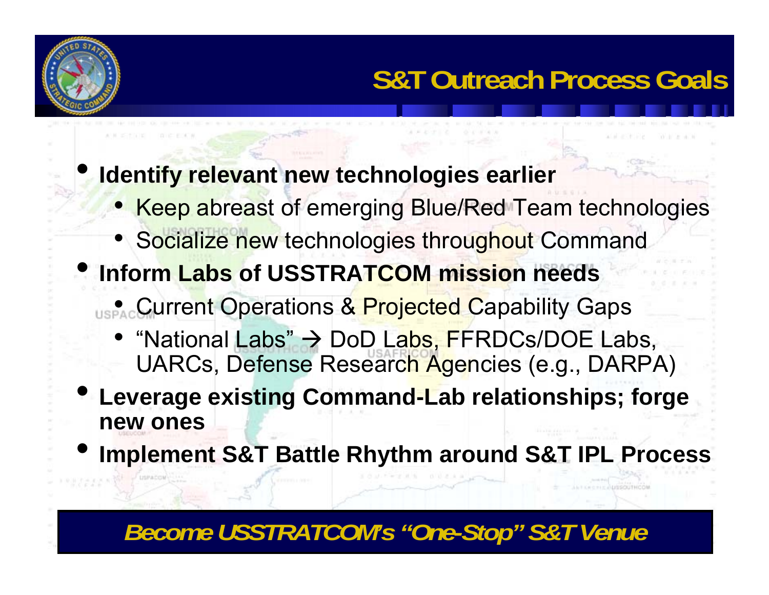

 $\bullet$ 

### **Identify relevant new technologies earlier**

- Keep abreast of emerging Blue/Red Team technologies
- Socialize new technologies throughout Command
- **Inform Labs of USSTRATCOM mission needs**
	- Current Operations & Projected Capability Gaps
		- "National Labs" → DoD La<mark>bs, F</mark>FRDCs/DOE Labs, UARCs, Defense Research Agencies (e.g., DARPA)
- $\bullet$  **Leverage existing Command-Lab relationships; forge new ones**
- •**Implement S&T Battle Rhythm around S&T IPL Process**

### *Become USSTRATCOM's "One-Stop" S&T Venue*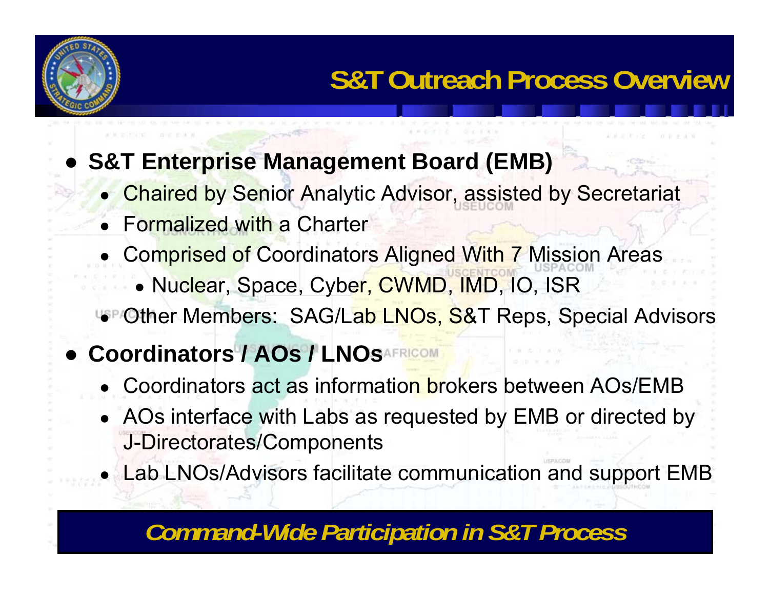

#### ●**S&T Enterprise Management Board (EMB)**

- Chaired by Senior Analytic Advisor, assisted by Secretariat
- Formalized with a Charter
- ●**Comprised of Coordinators Aligned With 7 Mission Areas** 
	- Nuclear, Space, Cyber, CWMD, IMD, IO, ISR
- Other Members: SAG/Lab LNOs, S&T Reps, Special Advisors

### ● **Coordinators / AOs / LNOs**

- ●• Coordinators act as information brokers between AOs/EMB
- AOs interface with Labs as requested by EMB or directed by J-Directorates/Components
- Lab LNOs/Advisors facilitate communication and support EMB

### *Command-Wide Participation in S&T Process*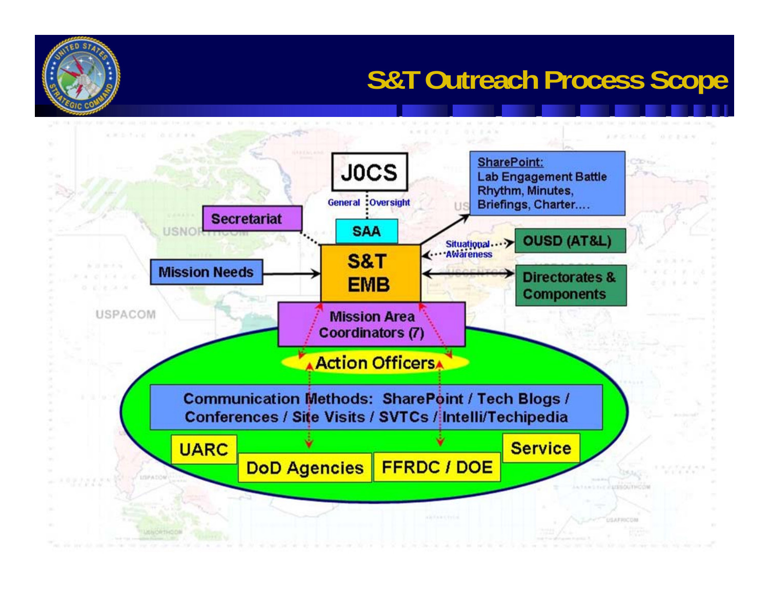### **S&T Outreach Process Scope**

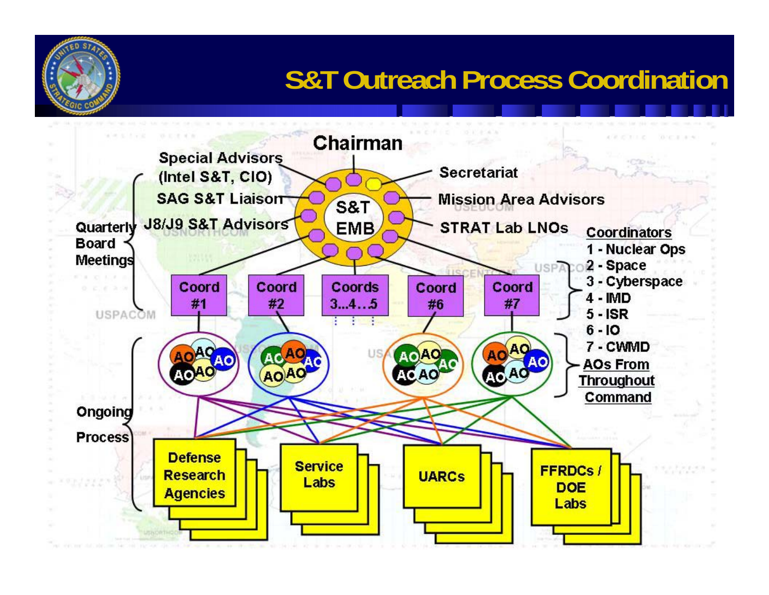### **S&T Outreach Process Coordination**

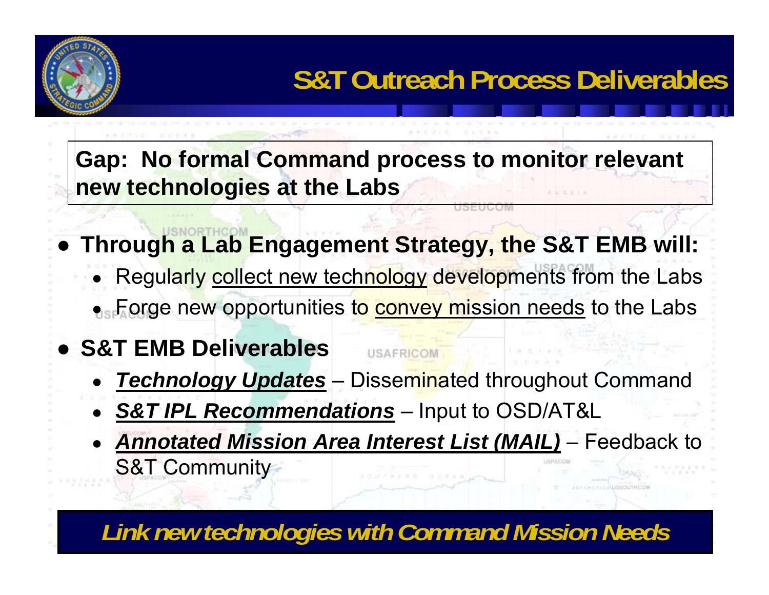

**Gap: No formal Command process to monitor relevant new technologies at the Labs** 

- **Through a Lab Engagement Strategy, the S&T EMB will:**
	- ●Regularly collect new technology developments from the Labs  $\bullet$  Forge new opportunities t<mark>o convey mission needs</mark> to the Labs

USAFRICOM

- **S&T EMB Deliverables**
	- ● *Technology Updates*  –– Disse<mark>mina</mark>ted throughout Command
	- *S&T IPL Recommendations*  –– Input to OSD/AT&L
	- *Annotated Mission Area Interest List (MAIL)*  – Feedback to S&T Community

*Link new technologies with Command Mission Needs*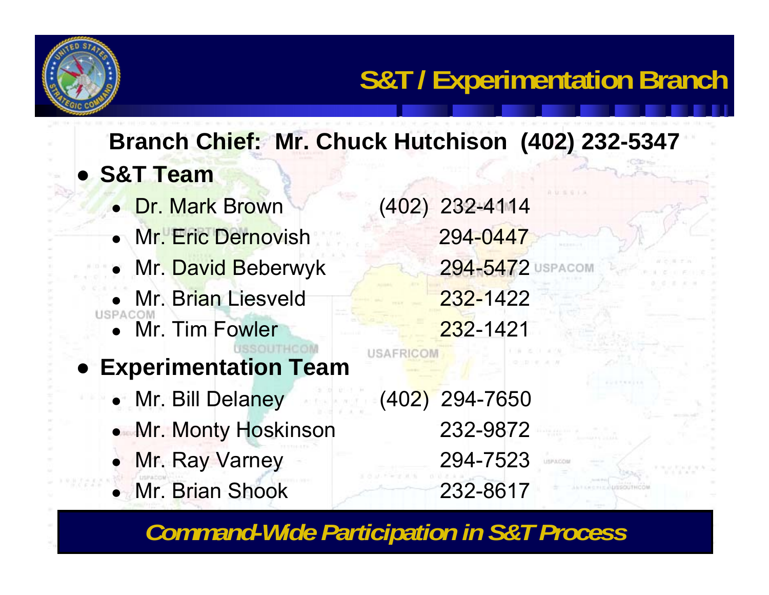

● **S&T TeamBranch Chief: Mr. Chuck Hutchison (402) 232-5347**

- Dr. Mark Brown (402) 232-4114 • Mr. Eric Dernovish 294-0447 ● Mr. David Beberwyk 294-5472
- Mr. Brian Liesveld 232-1422 USPACO
	- ●Mr. Tim Fowler 232-1421
- **Experimentation Team**
	- Mr. Bill Delaney (402) 294-7650
	- ●Mr. Monty Hoskinson 232-9872
	- ●Mr. Ray Varney 294-7523
	- Mr. Brian Shook 232-8617

USAFRICON

*Command-Wide Participation in S&T Process*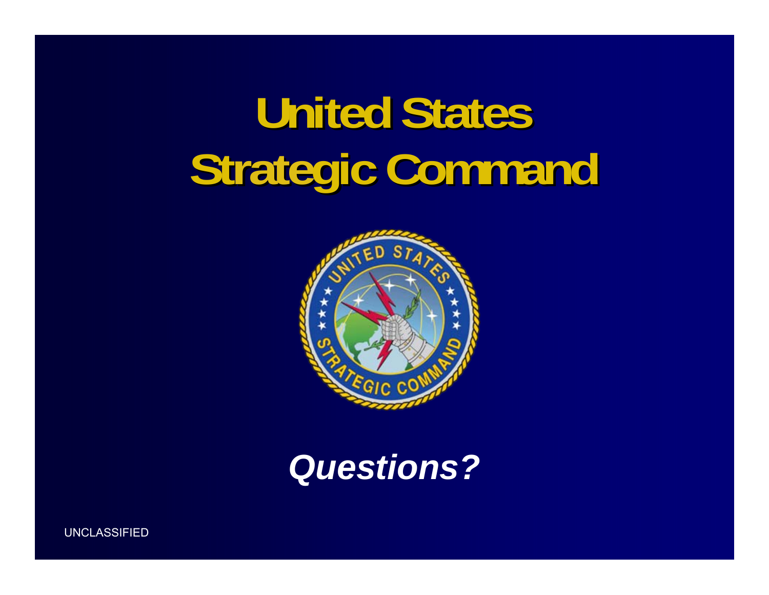# **United States United States Strategic Command gic Command**





UNCLASSIFIED